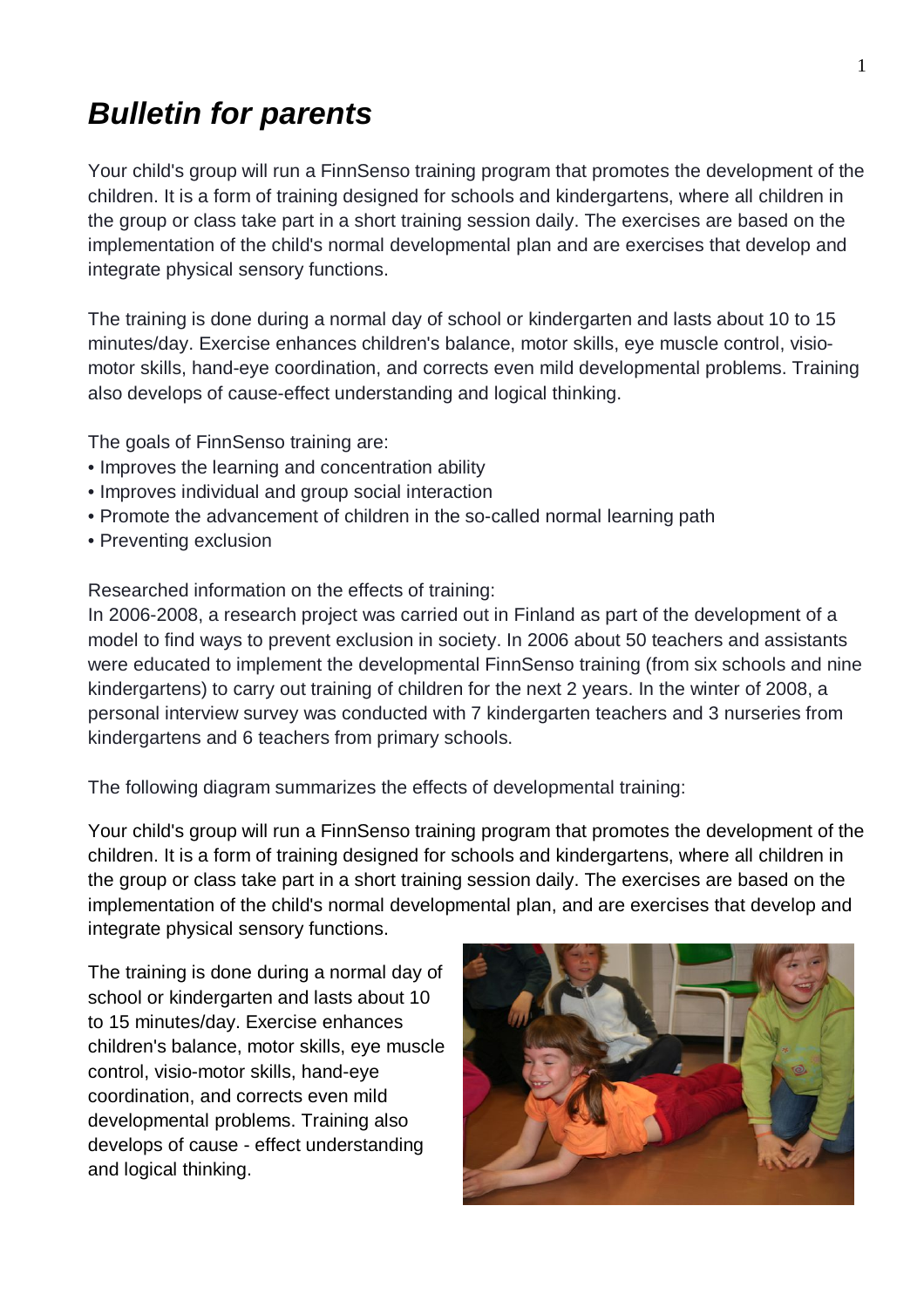## *Bulletin for parents*

Your child's group will run a FinnSenso training program that promotes the development of the children. It is a form of training designed for schools and kindergartens, where all children in the group or class take part in a short training session daily. The exercises are based on the implementation of the child's normal developmental plan and are exercises that develop and integrate physical sensory functions.

The training is done during a normal day of school or kindergarten and lasts about 10 to 15 minutes/day. Exercise enhances children's balance, motor skills, eye muscle control, visiomotor skills, hand-eye coordination, and corrects even mild developmental problems. Training also develops of cause-effect understanding and logical thinking.

The goals of FinnSenso training are:

- Improves the learning and concentration ability
- Improves individual and group social interaction
- Promote the advancement of children in the so-called normal learning path
- Preventing exclusion

Researched information on the effects of training:

In 2006-2008, a research project was carried out in Finland as part of the development of a model to find ways to prevent exclusion in society. In 2006 about 50 teachers and assistants were educated to implement the developmental FinnSenso training (from six schools and nine kindergartens) to carry out training of children for the next 2 years. In the winter of 2008, a personal interview survey was conducted with 7 kindergarten teachers and 3 nurseries from kindergartens and 6 teachers from primary schools.

The following diagram summarizes the effects of developmental training:

Your child's group will run a FinnSenso training program that promotes the development of the children. It is a form of training designed for schools and kindergartens, where all children in the group or class take part in a short training session daily. The exercises are based on the implementation of the child's normal developmental plan, and are exercises that develop and integrate physical sensory functions.

The training is done during a normal day of school or kindergarten and lasts about 10 to 15 minutes/day. Exercise enhances children's balance, motor skills, eye muscle control, visio-motor skills, hand-eye coordination, and corrects even mild developmental problems. Training also develops of cause - effect understanding and logical thinking.